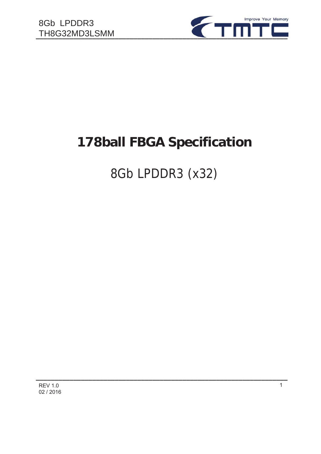

# **178ball FBGA Specification**

# 8Gb LPDDR3 (x32)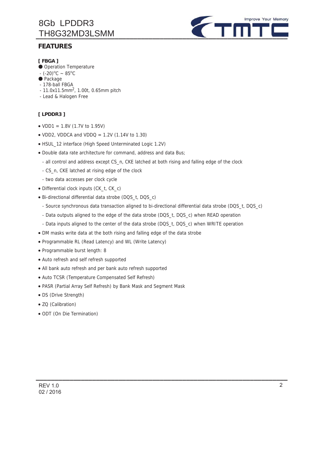# 8Gb LPDDR3

## **FEATURES**



### **[ FBGA ]**

- ̻ Operation Temperature
- $-(-20)^{\circ}$ C ~ 85°C
- Package
- 178-ball FBGA
- $-11.0x11.5mm^2$ , 1.00t, 0.65mm pitch
- Lead & Halogen Free

### **[ LPDDR3 ]**

- $\bullet$  VDD1 = 1.8V (1.7V to 1.95V)
- VDD2, VDDCA and VDDQ =  $1.2V$  (1.14V to 1.30)
- x HSUL\_12 interface (High Speed Unterminated Logic 1.2V)
- Double data rate architecture for command, address and data Bus;
	- all control and address except CS\_n, CKE latched at both rising and falling edge of the clock
	- CS\_n, CKE latched at rising edge of the clock
	- two data accesses per clock cycle
- Differential clock inputs (CK\_t, CK\_c)
- x Bi-directional differential data strobe (DQS\_t, DQS\_c)
	- Source synchronous data transaction aligned to bi-directional differential data strobe (DQS\_t, DQS\_c)

- Data outputs aligned to the edge of the data strobe (DQS\_t, DQS\_c) when READ operation
- Data inputs aligned to the center of the data strobe (DQS\_t, DQS\_c) when WRITE operation
- DM masks write data at the both rising and falling edge of the data strobe
- Programmable RL (Read Latency) and WL (Write Latency)
- Programmable burst length: 8
- Auto refresh and self refresh supported
- All bank auto refresh and per bank auto refresh supported
- Auto TCSR (Temperature Compensated Self Refresh)
- x PASR (Partial Array Self Refresh) by Bank Mask and Segment Mask
- DS (Drive Strength)
- ZQ (Calibration)
- ODT (On Die Termination)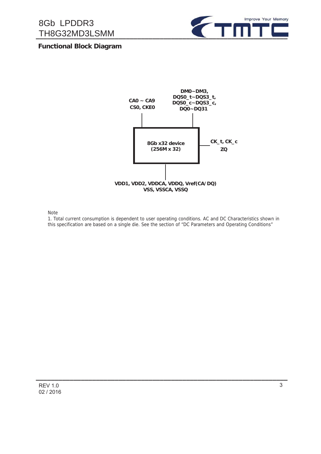

## **Functional Block Diagram**



Note

1. Total current consumption is dependent to user operating conditions. AC and DC Characteristics shown in this specification are based on a single die. See the section of "DC Parameters and Operating Conditions"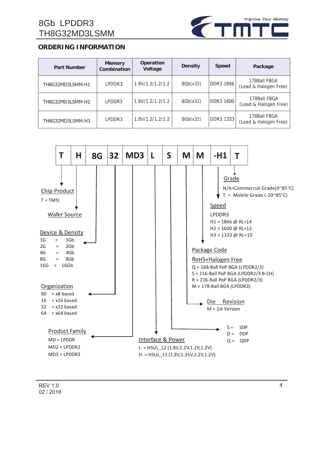

## **ORDERING INFORMATION**

| <b>Part Number</b> | <b>Memory</b><br>Combination | <b>Operation</b><br>Voltage | <b>Density</b> | <b>Speed</b>     | Package                               |
|--------------------|------------------------------|-----------------------------|----------------|------------------|---------------------------------------|
| TH8G32MD3LSMM-H1   | LPDDR3                       | 1.8V/1.2/1.2/1.2            | 8Gb(x32)       | <b>DDR3 1866</b> | 178Ball FBGA<br>(Lead & Halogen Free) |
| TH8G32MD3LSMM-H2   | LPDDR3                       | 1.8V/1.2/1.2/1.2            | 8Gb(x32)       | <b>DDR3 1600</b> | 178Ball FBGA<br>(Lead & Halogen Free) |
| TH8G32MD3LSMM-H3   | LPDDR3                       | 1.8V/1.2/1.2/1.2            | 8Gb(x32)       | DDR3 1333        | 178Ball FBGA<br>(Lead & Halogen Free) |

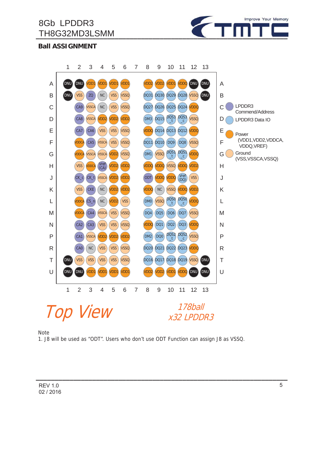

**Ball ASSIGNMENT**

8Gb LPDDR3



#### Note

1. J8 will be used as "ODT". Users who don't use ODT Function can assign J8 as VSSQ.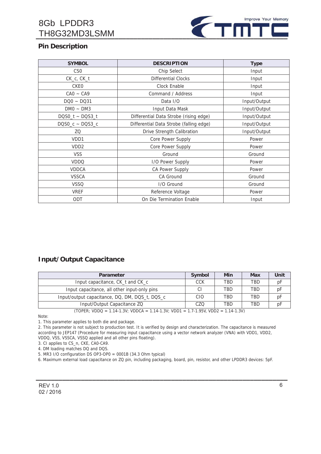# 8Gb LPDDR3



# **Pin Description**

| <b>SYMBOL</b>        | <b>DESCRIPTION</b>                      | <b>Type</b>  |  |
|----------------------|-----------------------------------------|--------------|--|
| CS <sub>0</sub>      | Chip Select                             | Input        |  |
| CK_c, CK_t           | <b>Differential Clocks</b>              | Input        |  |
| <b>CKEO</b>          | Clock Enable                            | Input        |  |
| $CAO - CA9$          | Command / Address                       | Input        |  |
| $DOO \sim DO31$      | Data I/O                                | Input/Output |  |
| $DMO \sim DM3$       | Input Data Mask                         | Input/Output |  |
| $DQSO_t \sim DQS3_t$ | Differential Data Strobe (rising edge)  | Input/Output |  |
| $DQSO_c \sim DOS3_c$ | Differential Data Strobe (falling edge) | Input/Output |  |
| ZQ                   | Drive Strength Calibration              | Input/Output |  |
| VD <sub>D1</sub>     | Core Power Supply                       | Power        |  |
| VDD <sub>2</sub>     | Core Power Supply                       | Power        |  |
| <b>VSS</b>           | Ground                                  | Ground       |  |
| <b>VDDQ</b>          | I/O Power Supply                        | Power        |  |
| <b>VDDCA</b>         | CA Power Supply                         | Power        |  |
| <b>VSSCA</b>         | CA Ground                               | Ground       |  |
| <b>VSSQ</b>          | I/O Ground                              | Ground       |  |
| <b>VREF</b>          | Reference Voltage                       | Power        |  |
| ODT                  | On Die Termination Enable               | Input        |  |

### **Input/Output Capacitance**

| <b>Parameter</b>                               | Symbol     | Min        | Max        | Unit |
|------------------------------------------------|------------|------------|------------|------|
| Input capacitance, CK_t and CK_c               | <b>CCK</b> | <b>TBD</b> | <b>TBD</b> | pF   |
| Input capacitance, all other input-only pins   |            | <b>TRD</b> | <b>TRD</b> | pF   |
| Input/output capacitance, DQ, DM, DQS_t, DQS_c | CIO        | <b>TBD</b> | <b>TBD</b> | pF   |
| Input/Output Capacitance ZQ                    | CZO        | <b>TBD</b> | <b>TBD</b> | рF   |

(TOPER; VDDQ = 1.14-1.3V; VDDCA = 1.14-1.3V; VDD1 = 1.7-1.95V, VDD2 = 1.14-1.3V)

Note:

1. This parameter applies to both die and package.

2. This parameter is not subject to production test. It is verified by design and characterization. The capacitance is measured according to JEP147 (Procedure for measuring input capacitance using a vector network analyzer (VNA) with VDD1, VDD2, VDDQ, VSS, VSSCA, VSSQ applied and all other pins floating).

3. CI applies to CS\_n, CKE, CA0-CA9.

4. DM loading matches DQ and DQS.

5. MR3 I/O configuration DS OP3-OP0 = 0001B (34.3 Ohm typical)

6. Maximum external load capacitance on ZQ pin, including packaging, board, pin, resistor, and other LPDDR3 devices: 5pF.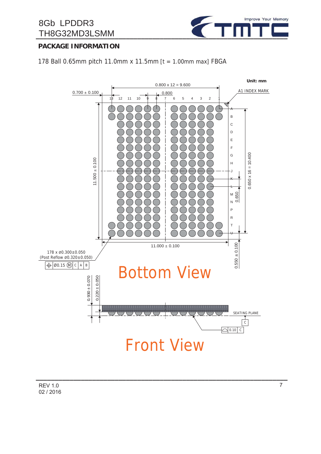# 8Gb LPDDR3



# **PACKAGE INFORMATION**

178 Ball 0.65mm pitch 11.0mm x 11.5mm  $[t = 1.00$ mm max] FBGA